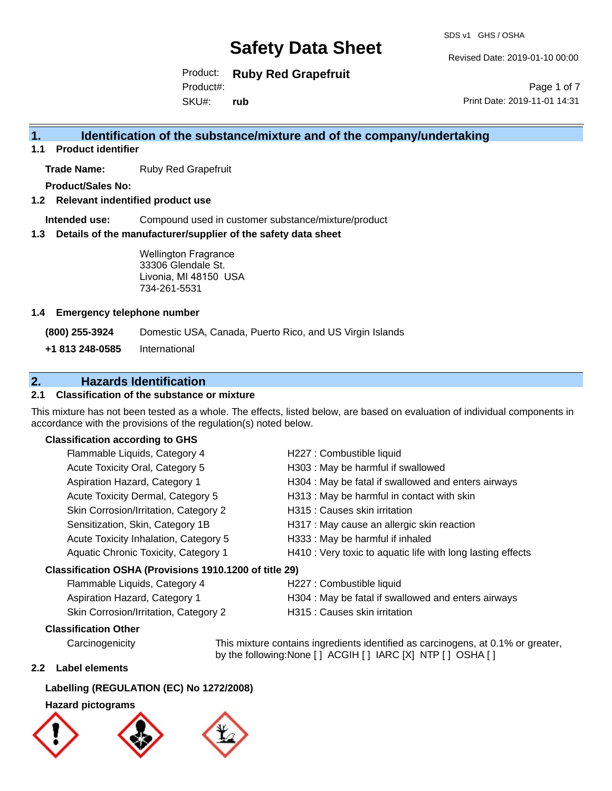Revised Date: 2019-01-10 00:00

Product: **Ruby Red Grapefruit**

Product#:

SKU#: **rub**

Page 1 of 7 Print Date: 2019-11-01 14:31

### **1. Identification of the substance/mixture and of the company/undertaking**

**1.1 Product identifier**

**Trade Name:** Ruby Red Grapefruit

**Product/Sales No:**

**1.2 Relevant indentified product use**

**Intended use:** Compound used in customer substance/mixture/product

**1.3 Details of the manufacturer/supplier of the safety data sheet**

Wellington Fragrance 33306 Glendale St. Livonia, MI 48150 USA 734-261-5531

#### **1.4 Emergency telephone number**

**(800) 255-3924** Domestic USA, Canada, Puerto Rico, and US Virgin Islands

**+1 813 248-0585** International

## **2. Hazards Identification**

### **2.1 Classification of the substance or mixture**

This mixture has not been tested as a whole. The effects, listed below, are based on evaluation of individual components in accordance with the provisions of the regulation(s) noted below.

#### **Classification according to GHS**

| Flammable Liquids, Category 4                          | H227 : Combustible liquid                                   |
|--------------------------------------------------------|-------------------------------------------------------------|
| Acute Toxicity Oral, Category 5                        | H303 : May be harmful if swallowed                          |
| Aspiration Hazard, Category 1                          | H304 : May be fatal if swallowed and enters airways         |
| Acute Toxicity Dermal, Category 5                      | H313 : May be harmful in contact with skin                  |
| Skin Corrosion/Irritation, Category 2                  | H315 : Causes skin irritation                               |
| Sensitization, Skin, Category 1B                       | H317 : May cause an allergic skin reaction                  |
| Acute Toxicity Inhalation, Category 5                  | H333: May be harmful if inhaled                             |
| Aquatic Chronic Toxicity, Category 1                   | H410 : Very toxic to aquatic life with long lasting effects |
| Classification OSHA (Provisions 1910.1200 of title 29) |                                                             |
| Flammable Liquids, Category 4                          | H227 : Combustible liquid                                   |
|                                                        |                                                             |

| Flammable Liquids, Category 4         | H227 : Combustible liquid                           |
|---------------------------------------|-----------------------------------------------------|
| Aspiration Hazard, Category 1         | H304 : May be fatal if swallowed and enters airways |
| Skin Corrosion/Irritation, Category 2 | H315 : Causes skin irritation                       |

#### **Classification Other**

Carcinogenicity This mixture contains ingredients identified as carcinogens, at 0.1% or greater, by the following:None [ ] ACGIH [ ] IARC [X] NTP [ ] OSHA [ ]

### **2.2 Label elements**

#### **Labelling (REGULATION (EC) No 1272/2008)**

#### **Hazard pictograms**





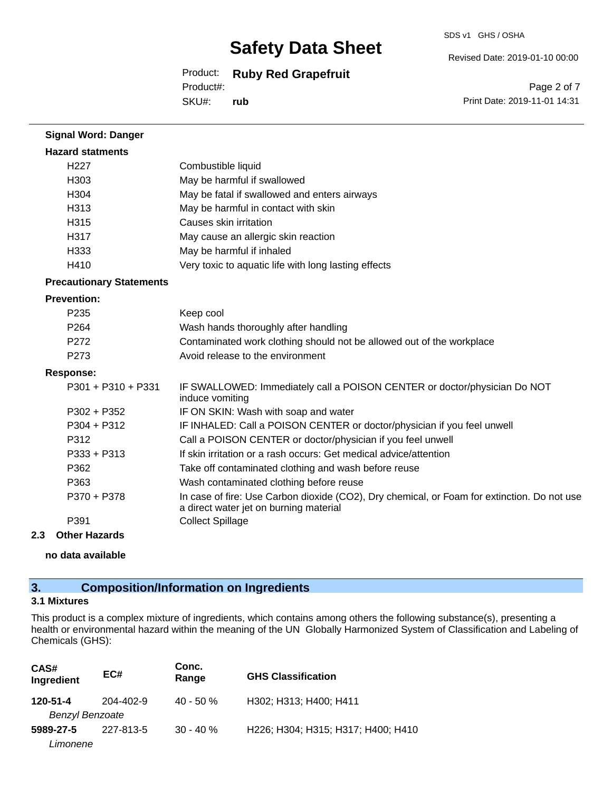Revised Date: 2019-01-10 00:00

Print Date: 2019-11-01 14:31

Page 2 of 7

Product: **Ruby Red Grapefruit**

Product#:

SKU#: **rub**

| <b>Signal Word: Danger</b>      |                                                                                                                                       |
|---------------------------------|---------------------------------------------------------------------------------------------------------------------------------------|
| <b>Hazard statments</b>         |                                                                                                                                       |
| H <sub>227</sub>                | Combustible liquid                                                                                                                    |
| H303                            | May be harmful if swallowed                                                                                                           |
| H304                            | May be fatal if swallowed and enters airways                                                                                          |
| H313                            | May be harmful in contact with skin                                                                                                   |
| H315                            | Causes skin irritation                                                                                                                |
| H317                            | May cause an allergic skin reaction                                                                                                   |
| H333                            | May be harmful if inhaled                                                                                                             |
| H410                            | Very toxic to aquatic life with long lasting effects                                                                                  |
| <b>Precautionary Statements</b> |                                                                                                                                       |
| <b>Prevention:</b>              |                                                                                                                                       |
| P <sub>235</sub>                | Keep cool                                                                                                                             |
| P <sub>264</sub>                | Wash hands thoroughly after handling                                                                                                  |
| P272                            | Contaminated work clothing should not be allowed out of the workplace                                                                 |
| P273                            | Avoid release to the environment                                                                                                      |
| <b>Response:</b>                |                                                                                                                                       |
| $P301 + P310 + P331$            | IF SWALLOWED: Immediately call a POISON CENTER or doctor/physician Do NOT<br>induce vomiting                                          |
| $P302 + P352$                   | IF ON SKIN: Wash with soap and water                                                                                                  |
| $P304 + P312$                   | IF INHALED: Call a POISON CENTER or doctor/physician if you feel unwell                                                               |
| P312                            | Call a POISON CENTER or doctor/physician if you feel unwell                                                                           |
| $P333 + P313$                   | If skin irritation or a rash occurs: Get medical advice/attention                                                                     |
| P362                            | Take off contaminated clothing and wash before reuse                                                                                  |
| P363                            | Wash contaminated clothing before reuse                                                                                               |
| P370 + P378                     | In case of fire: Use Carbon dioxide (CO2), Dry chemical, or Foam for extinction. Do not use<br>a direct water jet on burning material |
| P391                            | <b>Collect Spillage</b>                                                                                                               |

#### **2.3 Other Hazards**

**no data available**

# **3. Composition/Information on Ingredients**

### **3.1 Mixtures**

This product is a complex mixture of ingredients, which contains among others the following substance(s), presenting a health or environmental hazard within the meaning of the UN Globally Harmonized System of Classification and Labeling of Chemicals (GHS):

| CAS#<br>Ingredient     | EC#       | Conc.<br>Range | <b>GHS Classification</b>          |
|------------------------|-----------|----------------|------------------------------------|
| 120-51-4               | 204-402-9 | $40 - 50 \%$   | H302; H313; H400; H411             |
| <b>Benzyl Benzoate</b> |           |                |                                    |
| 5989-27-5              | 227-813-5 | $30 - 40 \%$   | H226; H304; H315; H317; H400; H410 |
| Limonene               |           |                |                                    |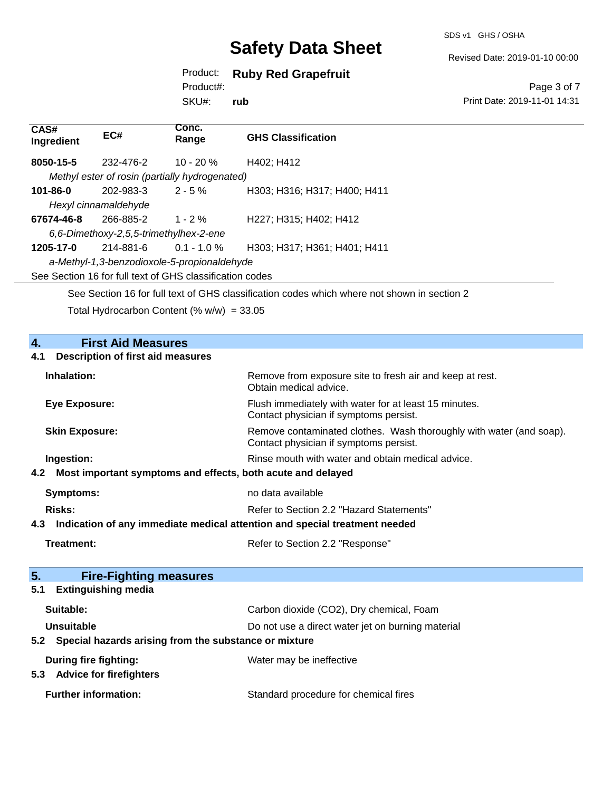SDS v1 GHS / OSHA

Revised Date: 2019-01-10 00:00

# Product: **Ruby Red Grapefruit**

Product#:

SKU#: **rub**

#### Page 3 of 7 Print Date: 2019-11-01 14:31

| CAS#<br>Ingredient                                       | EC#                  | Conc.<br>Range                                 | <b>GHS Classification</b>    |  |
|----------------------------------------------------------|----------------------|------------------------------------------------|------------------------------|--|
| 8050-15-5                                                | 232-476-2            | $10 - 20%$                                     | H402: H412                   |  |
|                                                          |                      | Methyl ester of rosin (partially hydrogenated) |                              |  |
| $101 - 86 - 0$                                           | 202-983-3            | $2 - 5%$                                       | H303; H316; H317; H400; H411 |  |
|                                                          | Hexyl cinnamaldehyde |                                                |                              |  |
| 67674-46-8                                               | 266-885-2            | 1 - 2 %                                        | H227; H315; H402; H412       |  |
| 6,6-Dimethoxy-2,5,5-trimethylhex-2-ene                   |                      |                                                |                              |  |
| 1205-17-0                                                | 214-881-6            | $0.1 - 1.0 \%$                                 | H303: H317: H361: H401: H411 |  |
| a-Methyl-1,3-benzodioxole-5-propionaldehyde              |                      |                                                |                              |  |
| See Section 16 for full text of GHS classification codes |                      |                                                |                              |  |
|                                                          |                      |                                                |                              |  |

See Section 16 for full text of GHS classification codes which where not shown in section 2

Total Hydrocarbon Content (%  $w/w$ ) = 33.05

| $\overline{4}$ .<br><b>First Aid Measures</b>                                     |                                                                                                               |  |
|-----------------------------------------------------------------------------------|---------------------------------------------------------------------------------------------------------------|--|
| <b>Description of first aid measures</b><br>4.1                                   |                                                                                                               |  |
| Inhalation:                                                                       | Remove from exposure site to fresh air and keep at rest.<br>Obtain medical advice.                            |  |
| <b>Eye Exposure:</b>                                                              | Flush immediately with water for at least 15 minutes.<br>Contact physician if symptoms persist.               |  |
| <b>Skin Exposure:</b>                                                             | Remove contaminated clothes. Wash thoroughly with water (and soap).<br>Contact physician if symptoms persist. |  |
| Ingestion:                                                                        | Rinse mouth with water and obtain medical advice.                                                             |  |
| Most important symptoms and effects, both acute and delayed<br>4.2                |                                                                                                               |  |
| Symptoms:                                                                         | no data available                                                                                             |  |
| <b>Risks:</b>                                                                     | Refer to Section 2.2 "Hazard Statements"                                                                      |  |
| Indication of any immediate medical attention and special treatment needed<br>4.3 |                                                                                                               |  |
| Treatment:                                                                        | Refer to Section 2.2 "Response"                                                                               |  |
|                                                                                   |                                                                                                               |  |
| 5.<br><b>Fire-Fighting measures</b>                                               |                                                                                                               |  |
| <b>Extinguishing media</b><br>5.1                                                 |                                                                                                               |  |
| Suitable:                                                                         | Carbon dioxide (CO2), Dry chemical, Foam                                                                      |  |
| Unsuitable                                                                        | Do not use a direct water jet on burning material                                                             |  |
| 5.2                                                                               | Special hazards arising from the substance or mixture                                                         |  |
| During fire fighting:<br><b>Advice for firefighters</b><br>5.3                    | Water may be ineffective                                                                                      |  |
| <b>Further information:</b>                                                       | Standard procedure for chemical fires                                                                         |  |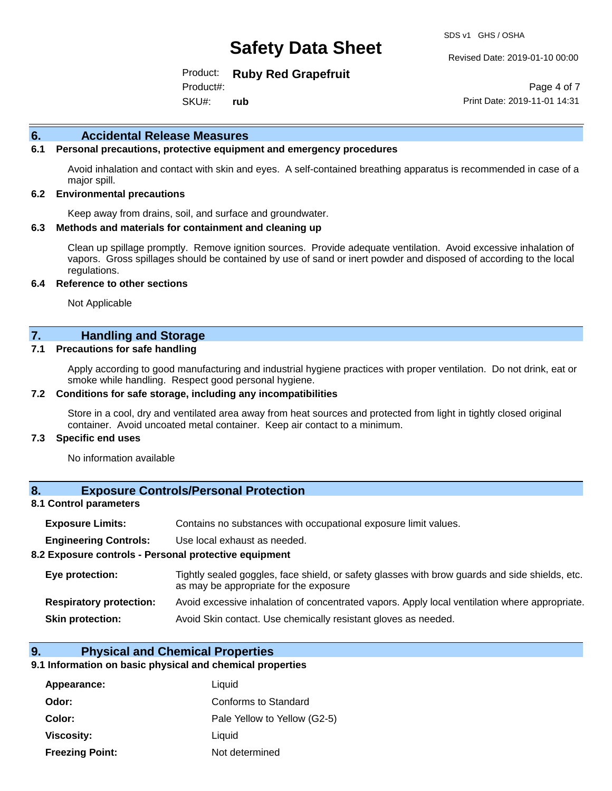Revised Date: 2019-01-10 00:00

Product: **Ruby Red Grapefruit**

SKU#: Product#: **rub**

Page 4 of 7 Print Date: 2019-11-01 14:31

#### **6. Accidental Release Measures**

#### **6.1 Personal precautions, protective equipment and emergency procedures**

Avoid inhalation and contact with skin and eyes. A self-contained breathing apparatus is recommended in case of a major spill.

#### **6.2 Environmental precautions**

Keep away from drains, soil, and surface and groundwater.

#### **6.3 Methods and materials for containment and cleaning up**

Clean up spillage promptly. Remove ignition sources. Provide adequate ventilation. Avoid excessive inhalation of vapors. Gross spillages should be contained by use of sand or inert powder and disposed of according to the local regulations.

#### **6.4 Reference to other sections**

Not Applicable

### **7. Handling and Storage**

#### **7.1 Precautions for safe handling**

Apply according to good manufacturing and industrial hygiene practices with proper ventilation. Do not drink, eat or smoke while handling. Respect good personal hygiene.

#### **7.2 Conditions for safe storage, including any incompatibilities**

Store in a cool, dry and ventilated area away from heat sources and protected from light in tightly closed original container. Avoid uncoated metal container. Keep air contact to a minimum.

#### **7.3 Specific end uses**

No information available

#### **8. Exposure Controls/Personal Protection**

#### **8.1 Control parameters**

| <b>Exposure Limits:</b> |  |  |  | Contains no substances with occupational exposure limit values. |  |
|-------------------------|--|--|--|-----------------------------------------------------------------|--|
|-------------------------|--|--|--|-----------------------------------------------------------------|--|

**Engineering Controls:** Use local exhaust as needed.

#### **8.2 Exposure controls - Personal protective equipment**

| Eye protection:                | Tightly sealed goggles, face shield, or safety glasses with brow guards and side shields, etc.<br>as may be appropriate for the exposure |
|--------------------------------|------------------------------------------------------------------------------------------------------------------------------------------|
| <b>Respiratory protection:</b> | Avoid excessive inhalation of concentrated vapors. Apply local ventilation where appropriate.                                            |
| <b>Skin protection:</b>        | Avoid Skin contact. Use chemically resistant gloves as needed.                                                                           |

#### **9. Physical and Chemical Properties**

#### **9.1 Information on basic physical and chemical properties**

| Appearance:            | Liquid                       |
|------------------------|------------------------------|
| Odor:                  | Conforms to Standard         |
| Color:                 | Pale Yellow to Yellow (G2-5) |
| Viscosity:             | Liquid                       |
| <b>Freezing Point:</b> | Not determined               |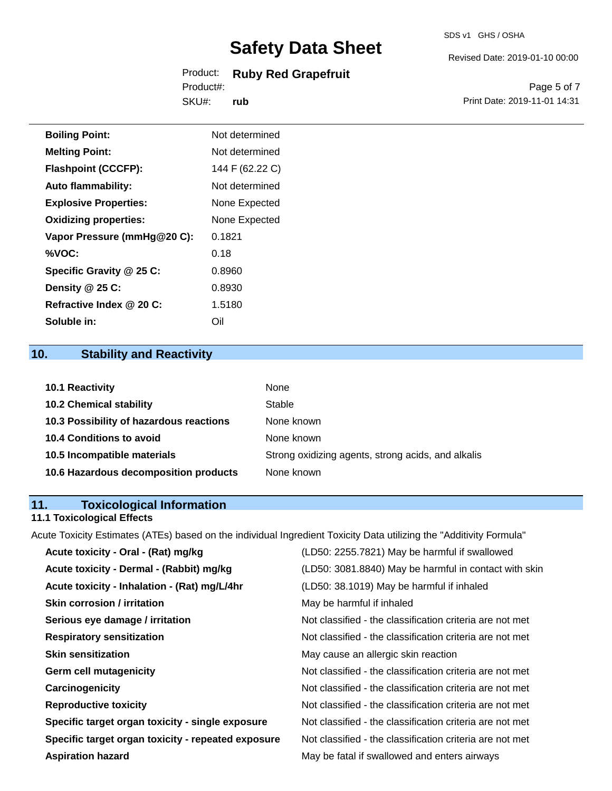### Product: **Ruby Red Grapefruit** Product#:

SKU#: **rub** Revised Date: 2019-01-10 00:00

Page 5 of 7 Print Date: 2019-11-01 14:31

| <b>Boiling Point:</b>        | Not determined  |
|------------------------------|-----------------|
| <b>Melting Point:</b>        | Not determined  |
| <b>Flashpoint (CCCFP):</b>   | 144 F (62.22 C) |
| <b>Auto flammability:</b>    | Not determined  |
| <b>Explosive Properties:</b> | None Expected   |
| <b>Oxidizing properties:</b> | None Expected   |
| Vapor Pressure (mmHg@20 C):  | 0.1821          |
| %VOC:                        | 0.18            |
| Specific Gravity @ 25 C:     | 0.8960          |
| Density @ 25 C:              | 0.8930          |
| Refractive Index @ 20 C:     | 1.5180          |
| Soluble in:                  | Oil             |

# **10. Stability and Reactivity**

| <b>10.1 Reactivity</b>                  | None                                               |
|-----------------------------------------|----------------------------------------------------|
| <b>10.2 Chemical stability</b>          | Stable                                             |
| 10.3 Possibility of hazardous reactions | None known                                         |
| <b>10.4 Conditions to avoid</b>         | None known                                         |
| 10.5 Incompatible materials             | Strong oxidizing agents, strong acids, and alkalis |
| 10.6 Hazardous decomposition products   | None known                                         |

# **11. Toxicological Information**

### **11.1 Toxicological Effects**

Acute Toxicity Estimates (ATEs) based on the individual Ingredient Toxicity Data utilizing the "Additivity Formula"

| Acute toxicity - Oral - (Rat) mg/kg                | (LD50: 2255.7821) May be harmful if swallowed            |
|----------------------------------------------------|----------------------------------------------------------|
| Acute toxicity - Dermal - (Rabbit) mg/kg           | (LD50: 3081.8840) May be harmful in contact with skin    |
| Acute toxicity - Inhalation - (Rat) mg/L/4hr       | (LD50: 38.1019) May be harmful if inhaled                |
| <b>Skin corrosion / irritation</b>                 | May be harmful if inhaled                                |
| Serious eye damage / irritation                    | Not classified - the classification criteria are not met |
| <b>Respiratory sensitization</b>                   | Not classified - the classification criteria are not met |
| <b>Skin sensitization</b>                          | May cause an allergic skin reaction                      |
| <b>Germ cell mutagenicity</b>                      | Not classified - the classification criteria are not met |
| Carcinogenicity                                    | Not classified - the classification criteria are not met |
| <b>Reproductive toxicity</b>                       | Not classified - the classification criteria are not met |
| Specific target organ toxicity - single exposure   | Not classified - the classification criteria are not met |
| Specific target organ toxicity - repeated exposure | Not classified - the classification criteria are not met |
| <b>Aspiration hazard</b>                           | May be fatal if swallowed and enters airways             |
|                                                    |                                                          |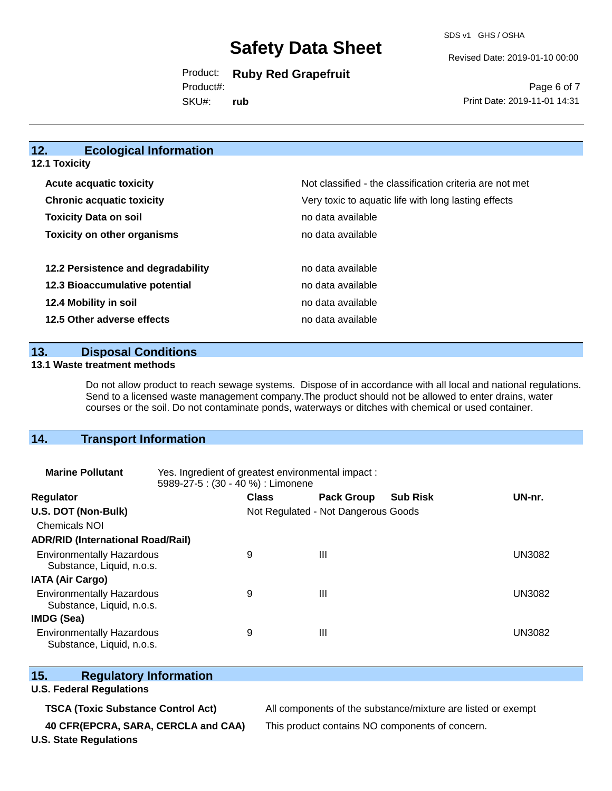SDS v1 GHS / OSHA

Revised Date: 2019-01-10 00:00

Product: **Ruby Red Grapefruit**

SKU#: Product#: **rub**

Page 6 of 7 Print Date: 2019-11-01 14:31

# **12. Ecological Information**

**12.1 Toxicity**

| <b>Acute acquatic toxicity</b>     | Not classified - the classification criteria are not met |
|------------------------------------|----------------------------------------------------------|
| <b>Chronic acquatic toxicity</b>   | Very toxic to aquatic life with long lasting effects     |
| <b>Toxicity Data on soil</b>       | no data available                                        |
| <b>Toxicity on other organisms</b> | no data available                                        |
|                                    |                                                          |
| 12.2 Persistence and degradability | no data available                                        |
| 12.3 Bioaccumulative potential     | no data available                                        |
| 12.4 Mobility in soil              | no data available                                        |
| 12.5 Other adverse effects         | no data available                                        |

**13. Disposal Conditions** 

#### **13.1 Waste treatment methods**

Do not allow product to reach sewage systems. Dispose of in accordance with all local and national regulations. Send to a licensed waste management company.The product should not be allowed to enter drains, water courses or the soil. Do not contaminate ponds, waterways or ditches with chemical or used container.

## **14. Transport Information**

| <b>Marine Pollutant</b>                                       | Yes. Ingredient of greatest environmental impact:<br>5989-27-5 : (30 - 40 %) : Limonene |                                     |                   |                 |               |  |
|---------------------------------------------------------------|-----------------------------------------------------------------------------------------|-------------------------------------|-------------------|-----------------|---------------|--|
| <b>Regulator</b>                                              |                                                                                         | <b>Class</b>                        | <b>Pack Group</b> | <b>Sub Risk</b> | UN-nr.        |  |
| U.S. DOT (Non-Bulk)                                           |                                                                                         | Not Regulated - Not Dangerous Goods |                   |                 |               |  |
| <b>Chemicals NOI</b>                                          |                                                                                         |                                     |                   |                 |               |  |
| <b>ADR/RID (International Road/Rail)</b>                      |                                                                                         |                                     |                   |                 |               |  |
| <b>Environmentally Hazardous</b><br>Substance, Liquid, n.o.s. |                                                                                         | 9                                   | Ш                 |                 | UN3082        |  |
| <b>IATA (Air Cargo)</b>                                       |                                                                                         |                                     |                   |                 |               |  |
| <b>Environmentally Hazardous</b><br>Substance, Liquid, n.o.s. |                                                                                         | 9                                   | Ш                 |                 | <b>UN3082</b> |  |
| <b>IMDG (Sea)</b>                                             |                                                                                         |                                     |                   |                 |               |  |
| <b>Environmentally Hazardous</b><br>Substance, Liquid, n.o.s. |                                                                                         | 9                                   | Ш                 |                 | UN3082        |  |

### **15. Regulatory Information**

### **U.S. Federal Regulations**

**TSCA (Toxic Substance Control Act)** All components of the substance/mixture are listed or exempt

**40 CFR(EPCRA, SARA, CERCLA and CAA)** This product contains NO components of concern.